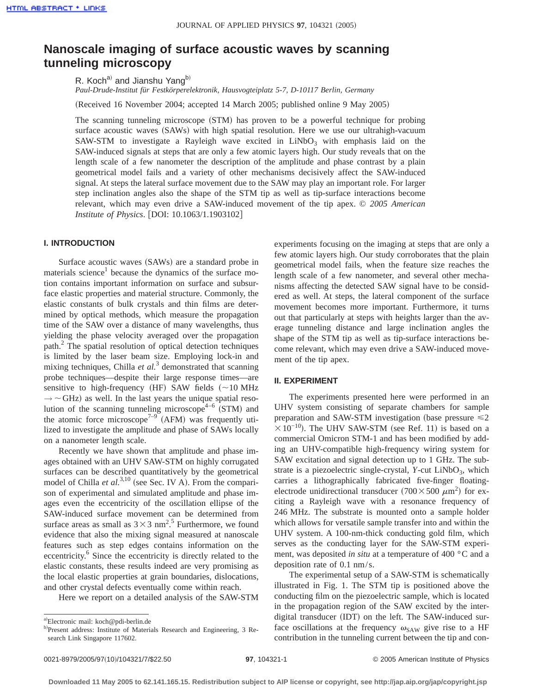# **Nanoscale imaging of surface acoustic waves by scanning tunneling microscopy**

R. Koch<sup>a)</sup> and Jianshu Yang<sup>b)</sup>

*Paul-Drude-Institut für Festkörperelektronik, Hausvogteiplatz 5-7, D-10117 Berlin, Germany*

(Received 16 November 2004; accepted 14 March 2005; published online 9 May 2005)

The scanning tunneling microscope (STM) has proven to be a powerful technique for probing surface acoustic waves (SAWs) with high spatial resolution. Here we use our ultrahigh-vacuum SAW-STM to investigate a Rayleigh wave excited in  $LiNbO<sub>3</sub>$  with emphasis laid on the SAW-induced signals at steps that are only a few atomic layers high. Our study reveals that on the length scale of a few nanometer the description of the amplitude and phase contrast by a plain geometrical model fails and a variety of other mechanisms decisively affect the SAW-induced signal. At steps the lateral surface movement due to the SAW may play an important role. For larger step inclination angles also the shape of the STM tip as well as tip-surface interactions become relevant, which may even drive a SAW-induced movement of the tip apex. © *2005 American Institute of Physics.* [DOI: 10.1063/1.1903102]

# **I. INTRODUCTION**

Surface acoustic waves (SAWs) are a standard probe in materials science<sup>1</sup> because the dynamics of the surface motion contains important information on surface and subsurface elastic properties and material structure. Commonly, the elastic constants of bulk crystals and thin films are determined by optical methods, which measure the propagation time of the SAW over a distance of many wavelengths, thus yielding the phase velocity averaged over the propagation path.<sup>2</sup> The spatial resolution of optical detection techniques is limited by the laser beam size. Employing lock-in and mixing techniques, Chilla *et al.*<sup>3</sup> demonstrated that scanning probe techniques—despite their large response times—are sensitive to high-frequency (HF) SAW fields  $\sim10$  MHz  $\rightarrow \sim$  GHz) as well. In the last years the unique spatial resolution of the scanning tunneling microscope<sup>4–6</sup> (STM) and the atomic force microscope<sup>7–9</sup> (AFM) was frequently utilized to investigate the amplitude and phase of SAWs locally on a nanometer length scale.

Recently we have shown that amplitude and phase images obtained with an UHV SAW-STM on highly corrugated surfaces can be described quantitatively by the geometrical model of Chilla *et al.*<sup>3,10</sup> (see Sec. IV A). From the comparison of experimental and simulated amplitude and phase images even the eccentricity of the oscillation ellipse of the SAW-induced surface movement can be determined from surface areas as small as  $3 \times 3$  nm<sup>2</sup>.<sup>5</sup> Furthermore, we found evidence that also the mixing signal measured at nanoscale features such as step edges contains information on the eccentricity.<sup>6</sup> Since the eccentricity is directly related to the elastic constants, these results indeed are very promising as the local elastic properties at grain boundaries, dislocations, and other crystal defects eventually come within reach.

Here we report on a detailed analysis of the SAW-STM

experiments focusing on the imaging at steps that are only a few atomic layers high. Our study corroborates that the plain geometrical model fails, when the feature size reaches the length scale of a few nanometer, and several other mechanisms affecting the detected SAW signal have to be considered as well. At steps, the lateral component of the surface movement becomes more important. Furthermore, it turns out that particularly at steps with heights larger than the average tunneling distance and large inclination angles the shape of the STM tip as well as tip-surface interactions become relevant, which may even drive a SAW-induced movement of the tip apex.

#### **II. EXPERIMENT**

The experiments presented here were performed in an UHV system consisting of separate chambers for sample preparation and SAW-STM investigation (base pressure  $\leq 2$  $\times$ 10<sup>-10</sup>). The UHV SAW-STM (see Ref. 11) is based on a commercial Omicron STM-1 and has been modified by adding an UHV-compatible high-frequency wiring system for SAW excitation and signal detection up to 1 GHz. The substrate is a piezoelectric single-crystal, *Y*-cut LiNbO<sub>3</sub>, which carries a lithographically fabricated five-finger floatingelectrode unidirectional transducer  $(700 \times 500 \ \mu m^2)$  for exciting a Rayleigh wave with a resonance frequency of 246 MHz. The substrate is mounted onto a sample holder which allows for versatile sample transfer into and within the UHV system. A 100-nm-thick conducting gold film, which serves as the conducting layer for the SAW-STM experiment, was deposited *in situ* at a temperature of 400 °C and a deposition rate of 0.1 nm/s.

The experimental setup of a SAW-STM is schematically illustrated in Fig. 1. The STM tip is positioned above the conducting film on the piezoelectric sample, which is located in the propagation region of the SAW excited by the interdigital transducer  $(IDT)$  on the left. The SAW-induced surface oscillations at the frequency  $\omega_{\text{SAW}}$  give rise to a HF contribution in the tunneling current between the tip and con-

a)Electronic mail: koch@pdi-berlin.de

b)Present address: Institute of Materials Research and Engineering, 3 Research Link Singapore 117602.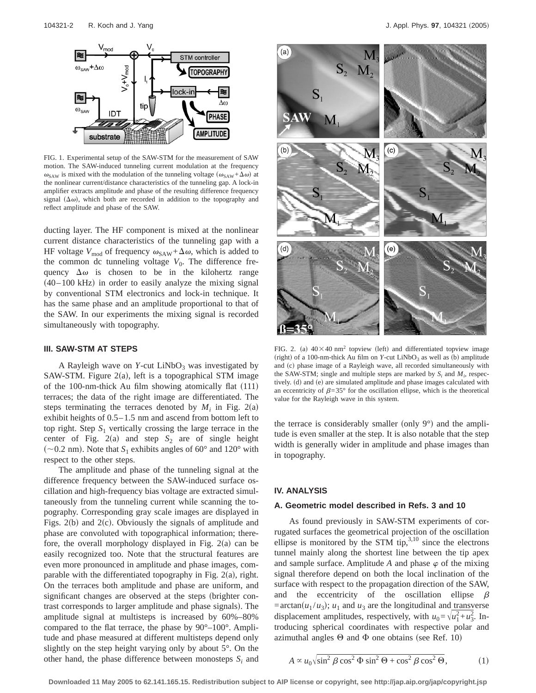

FIG. 1. Experimental setup of the SAW-STM for the measurement of SAW motion. The SAW-induced tunneling current modulation at the frequency  $\omega_{SAW}$  is mixed with the modulation of the tunneling voltage  $(\omega_{SAW}+\Delta\omega)$  at the nonlinear current/distance characteristics of the tunneling gap. A lock-in amplifier extracts amplitude and phase of the resulting difference frequency signal  $(\Delta \omega)$ , which both are recorded in addition to the topography and reflect amplitude and phase of the SAW.

ducting layer. The HF component is mixed at the nonlinear current distance characteristics of the tunneling gap with a HF voltage  $V_{\text{mod}}$  of frequency  $\omega_{\text{SAW}} + \Delta \omega$ , which is added to the common dc tunneling voltage  $V_0$ . The difference frequency  $\Delta\omega$  is chosen to be in the kilohertz range  $(40-100 \text{ kHz})$  in order to easily analyze the mixing signal by conventional STM electronics and lock-in technique. It has the same phase and an amplitude proportional to that of the SAW. In our experiments the mixing signal is recorded simultaneously with topography.

#### **III. SAW-STM AT STEPS**

A Rayleigh wave on  $Y$ -cut  $LiNbO<sub>3</sub>$  was investigated by SAW-STM. Figure  $2(a)$ , left is a topographical STM image of the 100-nm-thick Au film showing atomically flat  $(111)$ terraces; the data of the right image are differentiated. The steps terminating the terraces denoted by  $M_i$  in Fig. 2(a) exhibit heights of 0.5–1.5 nm and ascend from bottom left to top right. Step  $S_1$  vertically crossing the large terrace in the center of Fig.  $2(a)$  and step  $S_2$  are of single height  $\sim$  0.2 nm). Note that *S*<sub>1</sub> exhibits angles of 60° and 120° with respect to the other steps.

The amplitude and phase of the tunneling signal at the difference frequency between the SAW-induced surface oscillation and high-frequency bias voltage are extracted simultaneously from the tunneling current while scanning the topography. Corresponding gray scale images are displayed in Figs.  $2(b)$  and  $2(c)$ . Obviously the signals of amplitude and phase are convoluted with topographical information; therefore, the overall morphology displayed in Fig.  $2(a)$  can be easily recognized too. Note that the structural features are even more pronounced in amplitude and phase images, comparable with the differentiated topography in Fig.  $2(a)$ , right. On the terraces both amplitude and phase are uniform, and significant changes are observed at the steps (brighter contrast corresponds to larger amplitude and phase signals). The amplitude signal at multisteps is increased by 60%–80% compared to the flat terrace, the phase by 90°–100°. Amplitude and phase measured at different multisteps depend only slightly on the step height varying only by about 5°. On the other hand, the phase difference between monosteps  $S_i$  and



FIG. 2. (a)  $40\times40$  nm<sup>2</sup> topview (left) and differentiated topview image (right) of a 100-nm-thick Au film on *Y*-cut LiNbO<sub>3</sub> as well as (b) amplitude and (c) phase image of a Rayleigh wave, all recorded simultaneously with the SAW-STM; single and multiple steps are marked by  $S_i$  and  $M_i$ , respectively. (d) and (e) are simulated amplitude and phase images calculated with an eccentricity of  $\beta=35^{\circ}$  for the oscillation ellipse, which is the theoretical value for the Rayleigh wave in this system.

the terrace is considerably smaller (only  $9^{\circ}$ ) and the amplitude is even smaller at the step. It is also notable that the step width is generally wider in amplitude and phase images than in topography.

#### **IV. ANALYSIS**

# **A. Geometric model described in Refs. 3 and 10**

As found previously in SAW-STM experiments of corrugated surfaces the geometrical projection of the oscillation ellipse is monitored by the STM tip, $3,10$  since the electrons tunnel mainly along the shortest line between the tip apex and sample surface. Amplitude  $A$  and phase  $\varphi$  of the mixing signal therefore depend on both the local inclination of the surface with respect to the propagation direction of the SAW, and the eccentricity of the oscillation ellipse  $\beta$ = $arctan(u_1/u_3)$ ;  $u_1$  and  $u_3$  are the longitudinal and transverse displacement amplitudes, respectively, with  $u_0 = \sqrt{u_1^2 + u_2^2}$ . Introducing spherical coordinates with respective polar and azimuthal angles  $\Theta$  and  $\Phi$  one obtains (see Ref. 10)

$$
A \propto u_0 \sqrt{\sin^2 \beta \cos^2 \Phi \sin^2 \Theta + \cos^2 \beta \cos^2 \Theta}, \tag{1}
$$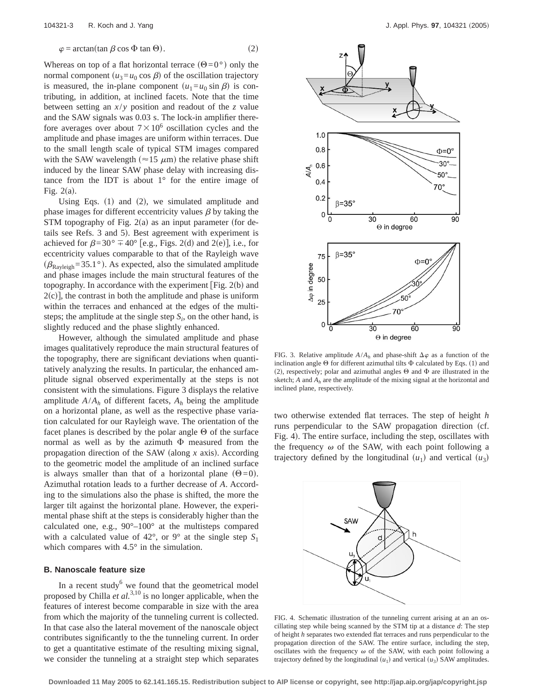$$
\varphi = \arctan(\tan \beta \cos \Phi \tan \Theta). \tag{2}
$$

Whereas on top of a flat horizontal terrace  $(\Theta=0^{\circ})$  only the normal component  $(u_3 = u_0 \cos \beta)$  of the oscillation trajectory is measured, the in-plane component  $(u_1 = u_0 \sin \beta)$  is contributing, in addition, at inclined facets. Note that the time between setting an  $x/y$  position and readout of the *z* value and the SAW signals was 0.03 s. The lock-in amplifier therefore averages over about  $7 \times 10^6$  oscillation cycles and the amplitude and phase images are uniform within terraces. Due to the small length scale of typical STM images compared with the SAW wavelength ( $\approx$ 15  $\mu$ m) the relative phase shift induced by the linear SAW phase delay with increasing distance from the IDT is about  $1^\circ$  for the entire image of Fig.  $2(a)$ .

Using Eqs.  $(1)$  and  $(2)$ , we simulated amplitude and phase images for different eccentricity values  $\beta$  by taking the STM topography of Fig.  $2(a)$  as an input parameter (for details see Refs. 3 and 5). Best agreement with experiment is achieved for  $\beta=30^\circ \mp 40^\circ$  [e.g., Figs. 2(d) and 2(e)], i.e., for eccentricity values comparable to that of the Rayleigh wave  $(\beta_{Rayleigh} = 35.1^{\circ})$ . As expected, also the simulated amplitude and phase images include the main structural features of the topography. In accordance with the experiment [Fig.  $2(b)$  and  $2(c)$ , the contrast in both the amplitude and phase is uniform within the terraces and enhanced at the edges of the multisteps; the amplitude at the single step  $S_i$ , on the other hand, is slightly reduced and the phase slightly enhanced.

However, although the simulated amplitude and phase images qualitatively reproduce the main structural features of the topography, there are significant deviations when quantitatively analyzing the results. In particular, the enhanced amplitude signal observed experimentally at the steps is not consistent with the simulations. Figure 3 displays the relative amplitude  $A/A_h$  of different facets,  $A_h$  being the amplitude on a horizontal plane, as well as the respective phase variation calculated for our Rayleigh wave. The orientation of the facet planes is described by the polar angle  $\Theta$  of the surface normal as well as by the azimuth  $\Phi$  measured from the propagation direction of the SAW (along  $x$  axis). According to the geometric model the amplitude of an inclined surface is always smaller than that of a horizontal plane  $(\Theta=0)$ . Azimuthal rotation leads to a further decrease of *A*. According to the simulations also the phase is shifted, the more the larger tilt against the horizontal plane. However, the experimental phase shift at the steps is considerably higher than the calculated one, e.g., 90°–100° at the multisteps compared with a calculated value of  $42^{\circ}$ , or  $9^{\circ}$  at the single step  $S_1$ which compares with  $4.5^{\circ}$  in the simulation.

# **B. Nanoscale feature size**

In a recent study $<sup>6</sup>$  we found that the geometrical model</sup> proposed by Chilla *et al.*3,10 is no longer applicable, when the features of interest become comparable in size with the area from which the majority of the tunneling current is collected. In that case also the lateral movement of the nanoscale object contributes significantly to the the tunneling current. In order to get a quantitative estimate of the resulting mixing signal, we consider the tunneling at a straight step which separates



FIG. 3. Relative amplitude  $A/A_h$  and phase-shift  $\Delta \varphi$  as a function of the inclination angle  $\Theta$  for different azimuthal tilts  $\Phi$  calculated by Eqs. (1) and (2), respectively; polar and azimuthal angles  $\Theta$  and  $\Phi$  are illustrated in the sketch;  $A$  and  $A_h$  are the amplitude of the mixing signal at the horizontal and inclined plane, respectively.

two otherwise extended flat terraces. The step of height *h* runs perpendicular to the SAW propagation direction (cf. Fig. 4). The entire surface, including the step, oscillates with the frequency  $\omega$  of the SAW, with each point following a trajectory defined by the longitudinal  $(u_1)$  and vertical  $(u_3)$ 



FIG. 4. Schematic illustration of the tunneling current arising at an an oscillating step while being scanned by the STM tip at a distance *d*: The step of height *h* separates two extended flat terraces and runs perpendicular to the propagation direction of the SAW. The entire surface, including the step, oscillates with the frequency  $\omega$  of the SAW, with each point following a trajectory defined by the longitudinal  $(u_1)$  and vertical  $(u_3)$  SAW amplitudes.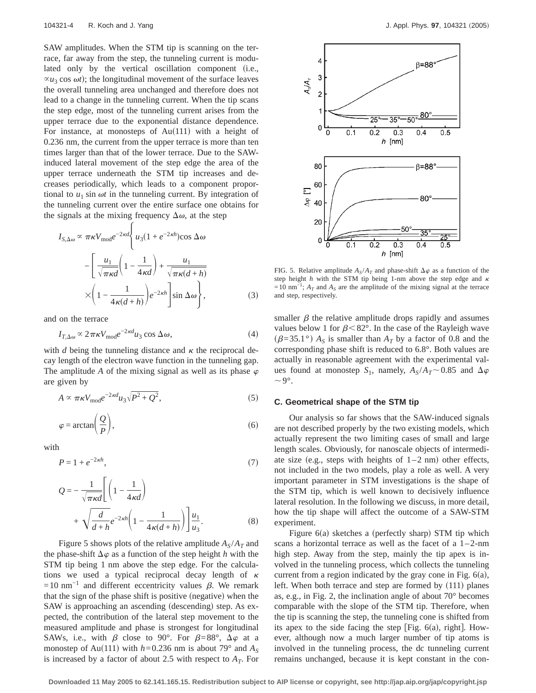SAW amplitudes. When the STM tip is scanning on the terrace, far away from the step, the tunneling current is modulated only by the vertical oscillation component (i.e.,  $\alpha u_3$  cos  $\omega t$ ; the longitudinal movement of the surface leaves the overall tunneling area unchanged and therefore does not lead to a change in the tunneling current. When the tip scans the step edge, most of the tunneling current arises from the upper terrace due to the exponential distance dependence. For instance, at monosteps of  $Au(111)$  with a height of 0.236 nm, the current from the upper terrace is more than ten times larger than that of the lower terrace. Due to the SAWinduced lateral movement of the step edge the area of the upper terrace underneath the STM tip increases and decreases periodically, which leads to a component proportional to  $u_1$  sin  $\omega t$  in the tunneling current. By integration of the tunneling current over the entire surface one obtains for the signals at the mixing frequency  $\Delta\omega$ , at the step

$$
I_{S,\Delta\omega} \propto \pi \kappa V_{\text{mod}} e^{-2\kappa d} \left\{ u_3 (1 + e^{-2\kappa h}) \cos \Delta \omega \right\}
$$

$$
- \left[ \frac{u_1}{\sqrt{\pi \kappa d}} \left( 1 - \frac{1}{4\kappa d} \right) + \frac{u_1}{\sqrt{\pi \kappa (d + h)}}
$$

$$
\times \left( 1 - \frac{1}{4\kappa (d + h)} \right) e^{-2\kappa h} \left[ \sin \Delta \omega \right],
$$
(3)

and on the terrace

$$
I_{T,\Delta\omega} \propto 2\pi\kappa V_{\text{mod}}e^{-2\kappa d}u_3 \cos \Delta\omega,\tag{4}
$$

with  $d$  being the tunneling distance and  $\kappa$  the reciprocal decay length of the electron wave function in the tunneling gap. The amplitude *A* of the mixing signal as well as its phase  $\varphi$ are given by

$$
A \propto \pi \kappa V_{\text{mod}} e^{-2\kappa d} u_3 \sqrt{P^2 + Q^2},\tag{5}
$$

$$
\varphi = \arctan\left(\frac{Q}{P}\right),\tag{6}
$$

with

$$
P = 1 + e^{-2\kappa h},\tag{7}
$$

$$
Q = -\frac{1}{\sqrt{\pi \kappa d}} \left[ \left( 1 - \frac{1}{4\kappa d} \right) + \sqrt{\frac{d}{d+h}} e^{-2\kappa h} \left( 1 - \frac{1}{4\kappa(d+h)} \right) \right] \frac{u_1}{u_3}.
$$
 (8)

Figure 5 shows plots of the relative amplitude  $A_S/A_T$  and the phase-shift  $\Delta \varphi$  as a function of the step height *h* with the STM tip being 1 nm above the step edge. For the calculations we used a typical reciprocal decay length of  $\kappa$  $=10$  nm<sup>-1</sup> and different eccentricity values  $\beta$ . We remark that the sign of the phase shift is positive (negative) when the SAW is approaching an ascending (descending) step. As expected, the contribution of the lateral step movement to the measured amplitude and phase is strongest for longitudinal SAWs, i.e., with  $\beta$  close to 90°. For  $\beta=88^\circ$ ,  $\Delta\varphi$  at a monostep of Au(111) with  $h=0.236$  nm is about 79° and  $A_s$ is increased by a factor of about 2.5 with respect to  $A_T$ . For



FIG. 5. Relative amplitude  $A_S/A_T$  and phase-shift  $\Delta \varphi$  as a function of the step height  $h$  with the STM tip being 1-nm above the step edge and  $\kappa$  $=10$  nm<sup>-1</sup>;  $A_T$  and  $A_S$  are the amplitude of the mixing signal at the terrace and step, respectively.

smaller  $\beta$  the relative amplitude drops rapidly and assumes values below 1 for  $\beta$ <82°. In the case of the Rayleigh wave  $(\beta=35.1^{\circ})$   $A_S$  is smaller than  $A_T$  by a factor of 0.8 and the corresponding phase shift is reduced to 6.8°. Both values are actually in reasonable agreement with the experimental values found at monostep  $S_1$ , namely,  $A_S/A_T \sim 0.85$  and  $\Delta \varphi$  $\sim$ 9°.

## **C. Geometrical shape of the STM tip**

Our analysis so far shows that the SAW-induced signals are not described properly by the two existing models, which actually represent the two limiting cases of small and large length scales. Obviously, for nanoscale objects of intermediate size (e.g., steps with heights of  $1-2$  nm) other effects, not included in the two models, play a role as well. A very important parameter in STM investigations is the shape of the STM tip, which is well known to decisively influence lateral resolution. In the following we discuss, in more detail, how the tip shape will affect the outcome of a SAW-STM experiment.

Figure  $6(a)$  sketches a (perfectly sharp) STM tip which scans a horizontal terrace as well as the facet of a  $1-2$ -nm high step. Away from the step, mainly the tip apex is involved in the tunneling process, which collects the tunneling current from a region indicated by the gray cone in Fig.  $6(a)$ , left. When both terrace and step are formed by  $(111)$  planes as, e.g., in Fig. 2, the inclination angle of about 70° becomes comparable with the slope of the STM tip. Therefore, when the tip is scanning the step, the tunneling cone is shifted from its apex to the side facing the step [Fig.  $6(a)$ , right]. However, although now a much larger number of tip atoms is involved in the tunneling process, the dc tunneling current remains unchanged, because it is kept constant in the con-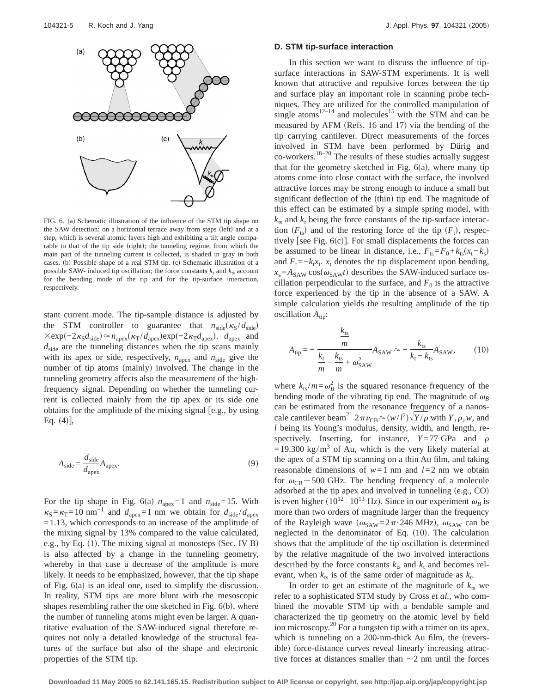

FIG. 6. (a) Schematic illustration of the influence of the STM tip shape on the SAW detection: on a horizontal terrace away from steps (left) and at a step, which is several atomic layers high and exhibiting a tilt angle comparable to that of the tip side (right); the tunneling regime, from which the main part of the tunneling current is collected, is shaded in gray in both cases. (b) Possible shape of a real STM tip. (c) Schematic illustration of a possible SAW- induced tip oscillation; the force constants  $k_t$  and  $k_{ts}$  account for the bending mode of the tip and for the tip-surface interaction, respectively.

stant current mode. The tip-sample distance is adjusted by the STM controller to guarantee that  $n_{\text{side}}(\kappa_S / d_{\text{side}})$  $\times$ exp(-2 $\kappa_S d_{\text{side}}$ ) ≈  $n_{\text{apex}}(\kappa_T / d_{\text{apex}})$ exp(-2 $\kappa_T d_{\text{apex}}$ ).  $d_{\text{apex}}$  and *d*side are the tunneling distances when the tip scans mainly with its apex or side, respectively,  $n_{\text{apex}}$  and  $n_{\text{side}}$  give the number of tip atoms (mainly) involved. The change in the tunneling geometry affects also the measurement of the highfrequency signal. Depending on whether the tunneling current is collected mainly from the tip apex or its side one obtains for the amplitude of the mixing signal fe.g., by using Eq.  $(4)$ ,

$$
A_{\rm side} = \frac{d_{\rm side}}{d_{\rm apex}} A_{\rm apex}.
$$
 (9)

For the tip shape in Fig. 6(a)  $n_{\text{apex}}=1$  and  $n_{\text{side}}=15$ . With  $k_S = k_T = 10$  nm<sup>-1</sup> and  $d_{\text{apex}} = 1$  nm we obtain for  $d_{\text{side}} / d_{\text{apex}}$ =1.13, which corresponds to an increase of the amplitude of the mixing signal by 13% compared to the value calculated, e.g., by Eq.  $(1)$ . The mixing signal at monosteps (Sec. IV B) is also affected by a change in the tunneling geometry, whereby in that case a decrease of the amplitude is more likely. It needs to be emphasized, however, that the tip shape of Fig.  $6(a)$  is an ideal one, used to simplify the discussion. In reality, STM tips are more blunt with the mesoscopic shapes resembling rather the one sketched in Fig.  $6(b)$ , where the number of tunneling atoms might even be larger. A quantitative evaluation of the SAW-induced signal therefore requires not only a detailed knowledge of the structural features of the surface but also of the shape and electronic properties of the STM tip.

#### **D. STM tip-surface interaction**

In this section we want to discuss the influence of tipsurface interactions in SAW-STM experiments. It is well known that attractive and repulsive forces between the tip and surface play an important role in scanning probe techniques. They are utilized for the controlled manipulation of single atoms<sup>12–14</sup> and molecules<sup>15</sup> with the STM and can be measured by AFM (Refs. 16 and 17) via the bending of the tip carrying cantilever. Direct measurements of the forces involved in STM have been performed by Dürig and  $co$ -workers.<sup>18–20</sup> The results of these studies actually suggest that for the geometry sketched in Fig.  $6(a)$ , where many tip atoms come into close contact with the surface, the involved attractive forces may be strong enough to induce a small but significant deflection of the (thin) tip end. The magnitude of this effect can be estimated by a simple spring model, with  $k_{ts}$  and  $k_t$  being the force constants of the tip-surface interaction  $(F_{ts})$  and of the restoring force of the tip  $(F_t)$ , respectively [see Fig.  $6(c)$ ]. For small displacements the forces can be assumed to be linear in distance, i.e.,  $F_{ts} = F_0 + k_{ts}(x_t - k_s)$ and  $F_t = -k_t x_t$ .  $x_t$  denotes the tip displacement upon bending,  $x_s = A_{SAW} \cos(\omega_{SAW}t)$  describes the SAW-induced surface oscillation perpendicular to the surface, and  $F_0$  is the attractive force experienced by the tip in the absence of a SAW. A simple calculation yields the resulting amplitude of the tip oscillation  $A_{\text{tip}}$ :

$$
A_{\rm tip} = -\frac{\frac{k_{\rm ts}}{m}}{\frac{k_{\rm t}}{m} - \frac{k_{\rm ts}}{m} + \omega_{\rm SAW}^2} A_{\rm SAW} \approx -\frac{k_{\rm ts}}{k_{\rm t} - k_{\rm ts}} A_{\rm SAW},\qquad(10)
$$

where  $k_{ts}/m = \omega_B^2$  is the squared resonance frequency of the bending mode of the vibrating tip end. The magnitude of  $\omega_B$ can be estimated from the resonance frequency of a nanoscale cantilever beam<sup>21</sup>  $2\pi v_{CB} \approx (w/l^2) \sqrt{Y/\rho}$  with *Y*,  $\rho$ , *w*, and *l* being its Young's modulus, density, width, and length, respectively. Inserting, for instance,  $Y=77$  GPa and  $\rho$  $=19.300 \text{ kg/m}^3$  of Au, which is the very likely material at the apex of a STM tip scanning on a thin Au film, and taking reasonable dimensions of  $w=1$  nm and  $l=2$  nm we obtain for  $\omega_{CB}$  ~500 GHz. The bending frequency of a molecule adsorbed at the tip apex and involved in tunneling  $(e.g., CO)$ is even higher ( $10^{12} - 10^{13}$  Hz). Since in our experiment  $\omega_B$  is more than two orders of magnitude larger than the frequency of the Rayleigh wave  $(\omega_{SAW} = 2\pi \cdot 246 \text{ MHz})$ ,  $\omega_{SAW}$  can be neglected in the denominator of Eq.  $(10)$ . The calculation shows that the amplitude of the tip oscillation is determined by the relative magnitude of the two involved interactions described by the force constants  $k_{ts}$  and  $k_t$  and becomes relevant, when  $k_{ts}$  is of the same order of magnitude as  $k_{t}$ .

In order to get an estimate of the magnitude of  $k_{ts}$  we refer to a sophisticated STM study by Cross *et al.*, who combined the movable STM tip with a bendable sample and characterized the tip geometry on the atomic level by field ion microscopy.<sup>20</sup> For a tungsten tip with a trimer on its apex, which is tunneling on a  $200$ -nm-thick Au film, the (reversible) force-distance curves reveal linearly increasing attractive forces at distances smaller than  $\sim$  2 nm until the forces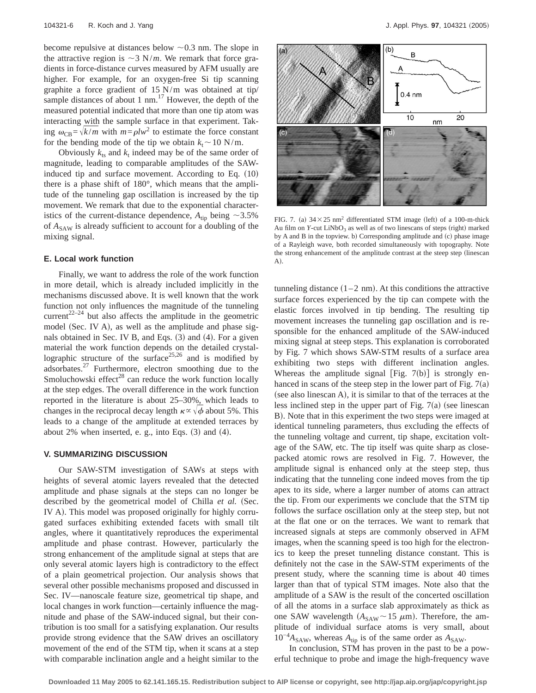become repulsive at distances below  $\sim 0.3$  nm. The slope in the attractive region is  $\sim$ 3 N/*m*. We remark that force gradients in force-distance curves measured by AFM usually are higher. For example, for an oxygen-free Si tip scanning graphite a force gradient of 15 N/m was obtained at tip/ sample distances of about 1 nm. $^{17}$  However, the depth of the measured potential indicated that more than one tip atom was interacting with the sample surface in that experiment. Taking  $\omega_{\text{CB}} = \sqrt{k/m}$  with  $m = \rho l w^2$  to estimate the force constant for the bending mode of the tip we obtain  $k_t \sim 10 \text{ N/m}$ .

Obviously  $k_{ts}$  and  $k_t$  indeed may be of the same order of magnitude, leading to comparable amplitudes of the SAWinduced tip and surface movement. According to Eq.  $(10)$ there is a phase shift of 180°, which means that the amplitude of the tunneling gap oscillation is increased by the tip movement. We remark that due to the exponential characteristics of the current-distance dependence,  $A_{\text{tip}}$  being  $\sim$ 3.5% of  $A_{SAW}$  is already sufficient to account for a doubling of the mixing signal.

#### **E. Local work function**

Finally, we want to address the role of the work function in more detail, which is already included implicitly in the mechanisms discussed above. It is well known that the work function not only influences the magnitude of the tunneling current<sup>22–24</sup> but also affects the amplitude in the geometric model (Sec. IV A), as well as the amplitude and phase signals obtained in Sec. IV B, and Eqs.  $(3)$  and  $(4)$ . For a given material the work function depends on the detailed crystallographic structure of the surface  $25,26$  and is modified by adsorbates.27 Furthermore, electron smoothing due to the Smoluchowski effect $^{28}$  can reduce the work function locally at the step edges. The overall difference in the work function reported in the literature is about 25–30%, which leads to changes in the reciprocal decay length  $\kappa \propto \sqrt{\phi}$  about 5%. This leads to a change of the amplitude at extended terraces by about 2% when inserted, e. g., into Eqs.  $(3)$  and  $(4)$ .

# **V. SUMMARIZING DISCUSSION**

Our SAW-STM investigation of SAWs at steps with heights of several atomic layers revealed that the detected amplitude and phase signals at the steps can no longer be described by the geometrical model of Chilla et al. (Sec. IV A). This model was proposed originally for highly corrugated surfaces exhibiting extended facets with small tilt angles, where it quantitatively reproduces the experimental amplitude and phase contrast. However, particularly the strong enhancement of the amplitude signal at steps that are only several atomic layers high is contradictory to the effect of a plain geometrical projection. Our analysis shows that several other possible mechanisms proposed and discussed in Sec. IV—nanoscale feature size, geometrical tip shape, and local changes in work function—certainly influence the magnitude and phase of the SAW-induced signal, but their contribution is too small for a satisfying explanation. Our results provide strong evidence that the SAW drives an oscillatory movement of the end of the STM tip, when it scans at a step with comparable inclination angle and a height similar to the



FIG. 7. (a)  $34 \times 25$  nm<sup>2</sup> differentiated STM image (left) of a 100-m-thick Au film on  $Y$ -cut LiNbO<sub>3</sub> as well as of two linescans of steps (right) marked by A and B in the topview. b) Corresponding amplitude and (c) phase image of a Rayleigh wave, both recorded simultaneously with topography. Note the strong enhancement of the amplitude contrast at the steep step (linescan A).

tunneling distance  $(1-2 \text{ nm})$ . At this conditions the attractive surface forces experienced by the tip can compete with the elastic forces involved in tip bending. The resulting tip movement increases the tunneling gap oscillation and is responsible for the enhanced amplitude of the SAW-induced mixing signal at steep steps. This explanation is corroborated by Fig. 7 which shows SAW-STM results of a surface area exhibiting two steps with different inclination angles. Whereas the amplitude signal [Fig.  $7(b)$ ] is strongly enhanced in scans of the steep step in the lower part of Fig.  $7(a)$  $($ see also linescan A $)$ , it is similar to that of the terraces at the less inclined step in the upper part of Fig.  $7(a)$  (see linescan B). Note that in this experiment the two steps were imaged at identical tunneling parameters, thus excluding the effects of the tunneling voltage and current, tip shape, excitation voltage of the SAW, etc. The tip itself was quite sharp as closepacked atomic rows are resolved in Fig. 7. However, the amplitude signal is enhanced only at the steep step, thus indicating that the tunneling cone indeed moves from the tip apex to its side, where a larger number of atoms can attract the tip. From our experiments we conclude that the STM tip follows the surface oscillation only at the steep step, but not at the flat one or on the terraces. We want to remark that increased signals at steps are commonly observed in AFM images, when the scanning speed is too high for the electronics to keep the preset tunneling distance constant. This is definitely not the case in the SAW-STM experiments of the present study, where the scanning time is about 40 times larger than that of typical STM images. Note also that the amplitude of a SAW is the result of the concerted oscillation of all the atoms in a surface slab approximately as thick as one SAW wavelength  $(A_{SAW} \sim 15 \mu m)$ . Therefore, the amplitude of individual surface atoms is very small, about  $10^{-4}A_{SAW}$ , whereas  $A_{tip}$  is of the same order as  $A_{SAW}$ .

In conclusion, STM has proven in the past to be a powerful technique to probe and image the high-frequency wave